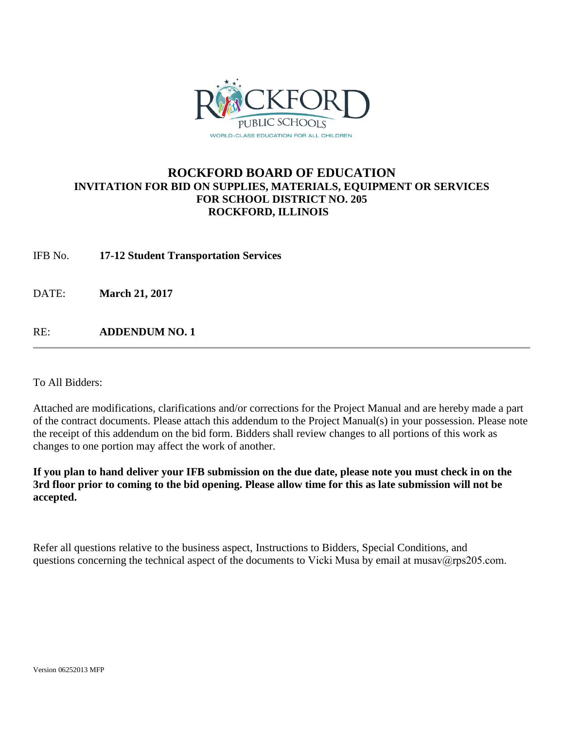

# **ROCKFORD BOARD OF EDUCATION INVITATION FOR BID ON SUPPLIES, MATERIALS, EQUIPMENT OR SERVICES FOR SCHOOL DISTRICT NO. 205 ROCKFORD, ILLINOIS**

IFB No. **17-12 Student Transportation Services**

DATE: **March 21, 2017** 

RE: **ADDENDUM NO. 1**

To All Bidders:

Attached are modifications, clarifications and/or corrections for the Project Manual and are hereby made a part of the contract documents. Please attach this addendum to the Project Manual(s) in your possession. Please note the receipt of this addendum on the bid form. Bidders shall review changes to all portions of this work as changes to one portion may affect the work of another.

**If you plan to hand deliver your IFB submission on the due date, please note you must check in on the 3rd floor prior to coming to the bid opening. Please allow time for this as late submission will not be accepted.**

Refer all questions relative to the business aspect, Instructions to Bidders, Special Conditions, and questions concerning the technical aspect of the documents to Vicki Musa by email at musav@rps205.com.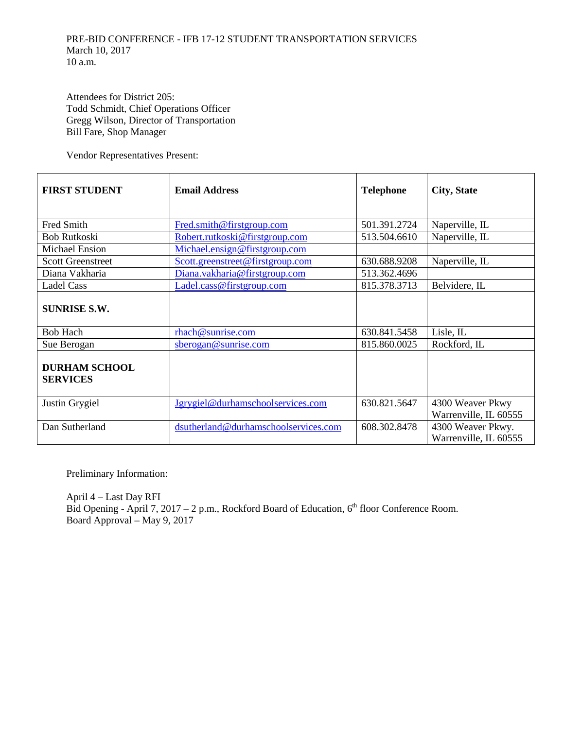Attendees for District 205: Todd Schmidt, Chief Operations Officer Gregg Wilson, Director of Transportation Bill Fare, Shop Manager

Vendor Representatives Present:

| <b>FIRST STUDENT</b>                    | <b>Email Address</b>                 | <b>Telephone</b> | <b>City, State</b>                         |
|-----------------------------------------|--------------------------------------|------------------|--------------------------------------------|
| Fred Smith                              | Fred.smith@firstgroup.com            | 501.391.2724     | Naperville, IL                             |
| <b>Bob Rutkoski</b>                     | Robert.rutkoski@firstgroup.com       | 513.504.6610     | Naperville, IL                             |
| <b>Michael Ension</b>                   | Michael.ensign@firstgroup.com        |                  |                                            |
| <b>Scott Greenstreet</b>                | Scott.greenstreet@firstgroup.com     | 630.688.9208     | Naperville, IL                             |
| Diana Vakharia                          | Diana.vakharia@firstgroup.com        | 513.362.4696     |                                            |
| <b>Ladel Cass</b>                       | Ladel.cass@firstgroup.com            | 815.378.3713     | Belvidere, IL                              |
| <b>SUNRISE S.W.</b>                     |                                      |                  |                                            |
| <b>Bob Hach</b>                         | rhach@sunrise.com                    | 630.841.5458     | Lisle, IL                                  |
| Sue Berogan                             | sberogan@sunrise.com                 | 815.860.0025     | Rockford, IL                               |
| <b>DURHAM SCHOOL</b><br><b>SERVICES</b> |                                      |                  |                                            |
| Justin Grygiel                          | Jgrygiel@durhamschoolservices.com    | 630.821.5647     | 4300 Weaver Pkwy<br>Warrenville, IL 60555  |
| Dan Sutherland                          | dsutherland@durhamschoolservices.com | 608.302.8478     | 4300 Weaver Pkwy.<br>Warrenville, IL 60555 |

Preliminary Information:

April 4 – Last Day RFI Bid Opening - April 7, 2017 – 2 p.m., Rockford Board of Education,  $6<sup>th</sup>$  floor Conference Room. Board Approval – May 9, 2017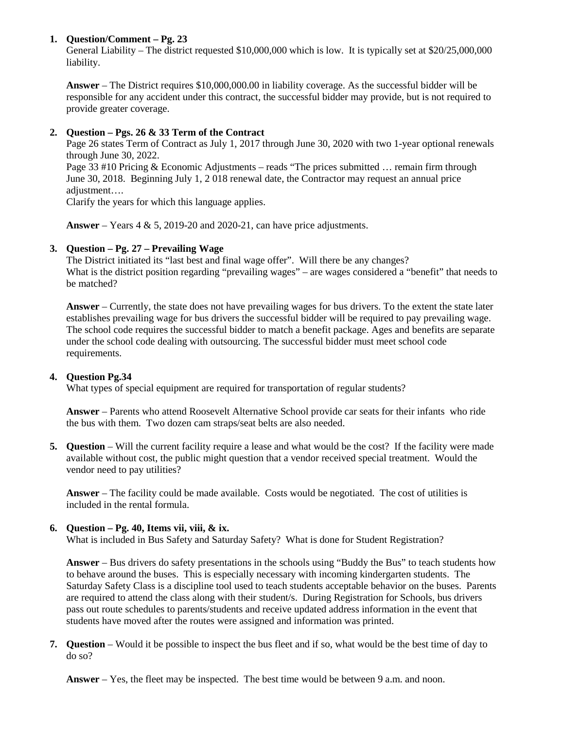## **1. Question/Comment – Pg. 23**

General Liability – The district requested \$10,000,000 which is low. It is typically set at \$20/25,000,000 liability.

**Answer** – The District requires \$10,000,000.00 in liability coverage. As the successful bidder will be responsible for any accident under this contract, the successful bidder may provide, but is not required to provide greater coverage.

## **2. Question – Pgs. 26 & 33 Term of the Contract**

Page 26 states Term of Contract as July 1, 2017 through June 30, 2020 with two 1-year optional renewals through June 30, 2022.

Page 33 #10 Pricing & Economic Adjustments – reads "The prices submitted ... remain firm through June 30, 2018. Beginning July 1, 2 018 renewal date, the Contractor may request an annual price adjustment….

Clarify the years for which this language applies.

**Answer** – Years 4 & 5, 2019-20 and 2020-21, can have price adjustments.

## **3. Question – Pg. 27 – Prevailing Wage**

The District initiated its "last best and final wage offer". Will there be any changes? What is the district position regarding "prevailing wages" – are wages considered a "benefit" that needs to be matched?

**Answer** – Currently, the state does not have prevailing wages for bus drivers. To the extent the state later establishes prevailing wage for bus drivers the successful bidder will be required to pay prevailing wage. The school code requires the successful bidder to match a benefit package. Ages and benefits are separate under the school code dealing with outsourcing. The successful bidder must meet school code requirements.

### **4. Question Pg.34**

What types of special equipment are required for transportation of regular students?

**Answer** – Parents who attend Roosevelt Alternative School provide car seats for their infants who ride the bus with them. Two dozen cam straps/seat belts are also needed.

**5. Question** – Will the current facility require a lease and what would be the cost? If the facility were made available without cost, the public might question that a vendor received special treatment. Would the vendor need to pay utilities?

**Answer** – The facility could be made available. Costs would be negotiated. The cost of utilities is included in the rental formula.

### **6. Question – Pg. 40, Items vii, viii, & ix.**

What is included in Bus Safety and Saturday Safety? What is done for Student Registration?

**Answer** – Bus drivers do safety presentations in the schools using "Buddy the Bus" to teach students how to behave around the buses. This is especially necessary with incoming kindergarten students. The Saturday Safety Class is a discipline tool used to teach students acceptable behavior on the buses. Parents are required to attend the class along with their student/s. During Registration for Schools, bus drivers pass out route schedules to parents/students and receive updated address information in the event that students have moved after the routes were assigned and information was printed.

**7. Question** – Would it be possible to inspect the bus fleet and if so, what would be the best time of day to do so?

**Answer** – Yes, the fleet may be inspected. The best time would be between 9 a.m. and noon.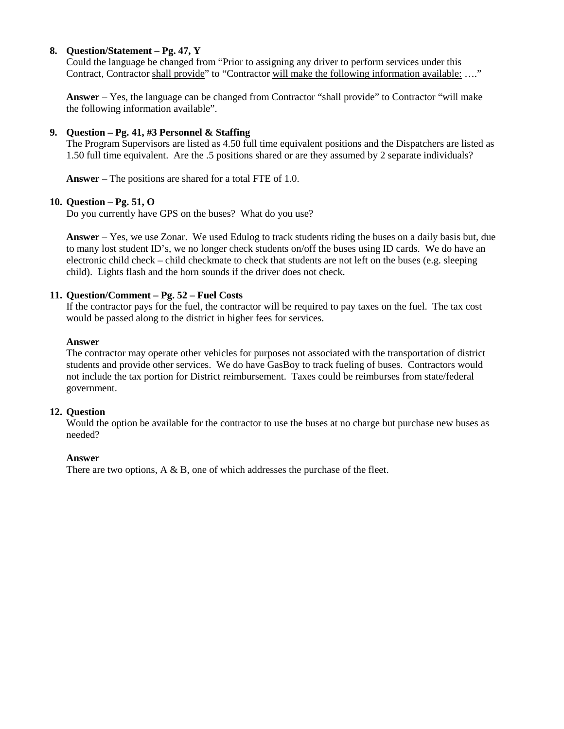## **8. Question/Statement – Pg. 47, Y**

Could the language be changed from "Prior to assigning any driver to perform services under this Contract, Contractor shall provide" to "Contractor will make the following information available: …."

**Answer** – Yes, the language can be changed from Contractor "shall provide" to Contractor "will make the following information available".

### **9. Question – Pg. 41, #3 Personnel & Staffing**

The Program Supervisors are listed as 4.50 full time equivalent positions and the Dispatchers are listed as 1.50 full time equivalent. Are the .5 positions shared or are they assumed by 2 separate individuals?

**Answer** – The positions are shared for a total FTE of 1.0.

### **10. Question – Pg. 51, O**

Do you currently have GPS on the buses? What do you use?

**Answer** – Yes, we use Zonar. We used Edulog to track students riding the buses on a daily basis but, due to many lost student ID's, we no longer check students on/off the buses using ID cards. We do have an electronic child check – child checkmate to check that students are not left on the buses (e.g. sleeping child). Lights flash and the horn sounds if the driver does not check.

### **11. Question/Comment – Pg. 52 – Fuel Costs**

If the contractor pays for the fuel, the contractor will be required to pay taxes on the fuel. The tax cost would be passed along to the district in higher fees for services.

#### **Answer**

The contractor may operate other vehicles for purposes not associated with the transportation of district students and provide other services. We do have GasBoy to track fueling of buses. Contractors would not include the tax portion for District reimbursement. Taxes could be reimburses from state/federal government.

### **12. Question**

Would the option be available for the contractor to use the buses at no charge but purchase new buses as needed?

#### **Answer**

There are two options, A & B, one of which addresses the purchase of the fleet.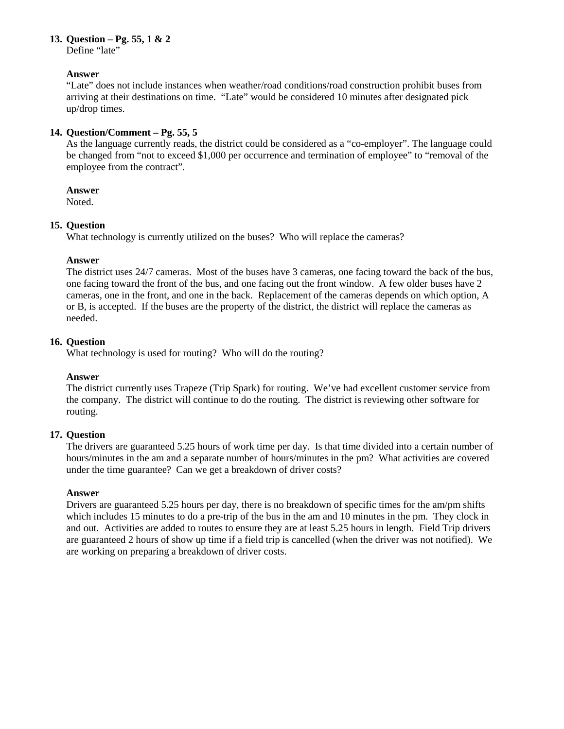#### **13. Question – Pg. 55, 1 & 2**

Define "late"

### **Answer**

"Late" does not include instances when weather/road conditions/road construction prohibit buses from arriving at their destinations on time. "Late" would be considered 10 minutes after designated pick up/drop times.

## **14. Question/Comment – Pg. 55, 5**

As the language currently reads, the district could be considered as a "co-employer". The language could be changed from "not to exceed \$1,000 per occurrence and termination of employee" to "removal of the employee from the contract".

### **Answer**

Noted.

## **15. Question**

What technology is currently utilized on the buses? Who will replace the cameras?

## **Answer**

The district uses 24/7 cameras. Most of the buses have 3 cameras, one facing toward the back of the bus, one facing toward the front of the bus, and one facing out the front window. A few older buses have 2 cameras, one in the front, and one in the back. Replacement of the cameras depends on which option, A or B, is accepted. If the buses are the property of the district, the district will replace the cameras as needed.

## **16. Question**

What technology is used for routing? Who will do the routing?

### **Answer**

The district currently uses Trapeze (Trip Spark) for routing. We've had excellent customer service from the company. The district will continue to do the routing. The district is reviewing other software for routing.

## **17. Question**

The drivers are guaranteed 5.25 hours of work time per day. Is that time divided into a certain number of hours/minutes in the am and a separate number of hours/minutes in the pm? What activities are covered under the time guarantee? Can we get a breakdown of driver costs?

### **Answer**

Drivers are guaranteed 5.25 hours per day, there is no breakdown of specific times for the am/pm shifts which includes 15 minutes to do a pre-trip of the bus in the am and 10 minutes in the pm. They clock in and out. Activities are added to routes to ensure they are at least 5.25 hours in length. Field Trip drivers are guaranteed 2 hours of show up time if a field trip is cancelled (when the driver was not notified). We are working on preparing a breakdown of driver costs.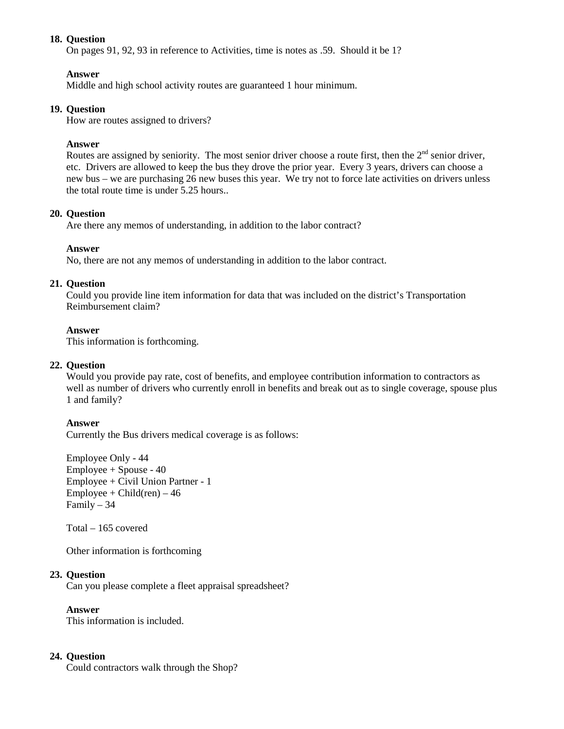### **18. Question**

On pages 91, 92, 93 in reference to Activities, time is notes as .59. Should it be 1?

### **Answer**

Middle and high school activity routes are guaranteed 1 hour minimum.

## **19. Question**

How are routes assigned to drivers?

### **Answer**

Routes are assigned by seniority. The most senior driver choose a route first, then the  $2<sup>nd</sup>$  senior driver, etc. Drivers are allowed to keep the bus they drove the prior year. Every 3 years, drivers can choose a new bus – we are purchasing 26 new buses this year. We try not to force late activities on drivers unless the total route time is under 5.25 hours.

### **20. Question**

Are there any memos of understanding, in addition to the labor contract?

### **Answer**

No, there are not any memos of understanding in addition to the labor contract.

### **21. Question**

Could you provide line item information for data that was included on the district's Transportation Reimbursement claim?

#### **Answer**

This information is forthcoming.

### **22. Question**

Would you provide pay rate, cost of benefits, and employee contribution information to contractors as well as number of drivers who currently enroll in benefits and break out as to single coverage, spouse plus 1 and family?

### **Answer**

Currently the Bus drivers medical coverage is as follows:

Employee Only - 44 Employee + Spouse - 40 Employee + Civil Union Partner - 1  $Employee + Child(ren) - 46$ Family – 34

Total – 165 covered

Other information is forthcoming

### **23. Question**

Can you please complete a fleet appraisal spreadsheet?

**Answer**

This information is included.

### **24. Question**

Could contractors walk through the Shop?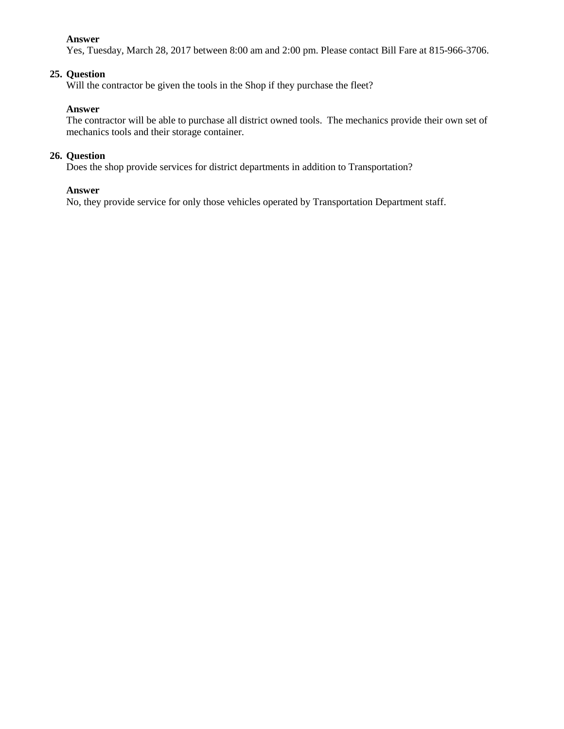#### **Answer**

Yes, Tuesday, March 28, 2017 between 8:00 am and 2:00 pm. Please contact Bill Fare at 815-966-3706.

#### **25. Question**

Will the contractor be given the tools in the Shop if they purchase the fleet?

#### **Answer**

The contractor will be able to purchase all district owned tools. The mechanics provide their own set of mechanics tools and their storage container.

#### **26. Question**

Does the shop provide services for district departments in addition to Transportation?

### **Answer**

No, they provide service for only those vehicles operated by Transportation Department staff.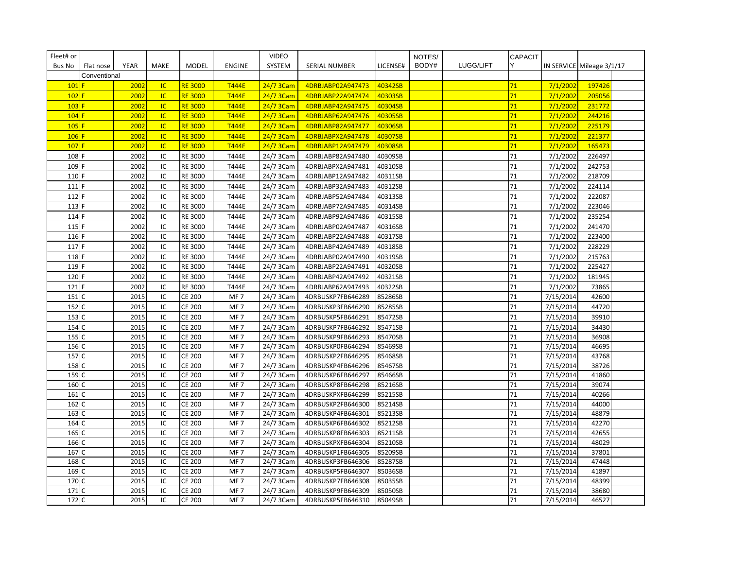| Fleet# or    |              |              |           |                                |                                    | <b>VIDEO</b>           |                                        |                    | NOTES/ |           | <b>CAPACIT</b> |                        |                           |  |
|--------------|--------------|--------------|-----------|--------------------------------|------------------------------------|------------------------|----------------------------------------|--------------------|--------|-----------|----------------|------------------------|---------------------------|--|
| Bus No       | Flat nose    | <b>YEAR</b>  | MAKE      | <b>MODEL</b>                   | <b>ENGINE</b>                      | SYSTEM                 | SERIAL NUMBER                          | LICENSE#           | BODY#  | LUGG/LIFT | Y              |                        | IN SERVICE Mileage 3/1/17 |  |
|              | Conventional |              |           |                                |                                    |                        |                                        |                    |        |           |                |                        |                           |  |
| 101          |              | 2002         | <b>IC</b> | <b>RE 3000</b>                 | <b>T444E</b>                       | 24/7 3Cam              | 4DRBJABP02A947473                      | 40342SB            |        |           | 71             | 7/1/2002               | 197426                    |  |
| 102          |              | 2002         | <b>IC</b> | <b>RE 3000</b>                 | <b>T444E</b>                       | 24/7 3Cam              | 4DRBJABP22A947474                      | 40303SB            |        |           | 71             | 7/1/2002               | 205056                    |  |
| $103$ F      |              | 2002         | <b>IC</b> | <b>RE 3000</b>                 | <b>T444E</b>                       | 24/7 3Cam              | 4DRBJABP42A947475                      | 40304SB            |        |           | 71             | 7/1/2002               | 231772                    |  |
| 104          |              | 2002         | IC        | <b>RE 3000</b>                 | <b>T444E</b>                       | 24/7 3Cam              | 4DRBJABP62A947476                      | 40305SB            |        |           | 71             | 7/1/2002               | 244216                    |  |
| $105$ F      |              | 2002         | <b>IC</b> | <b>RE 3000</b>                 | <b>T444E</b>                       | 24/7 3Cam              | 4DRBJABP82A947477                      | 40306SB            |        |           | 71             | 7/1/2002               | 225179                    |  |
| $106$ F      |              | 2002         | <b>IC</b> | <b>RE 3000</b>                 | <b>T444E</b>                       | 24/7 3Cam              | 4DRBJABPX2A947478                      | 40307SB            |        |           | 71             | 7/1/2002               | 221377                    |  |
| 107          |              | 2002         | IC        | <b>RE 3000</b>                 | <b>T444E</b>                       | 24/7 3Cam              | 4DRBJABP12A947479                      | 40308SB            |        |           | 71             | 7/1/2002               | 165473                    |  |
| 108 F        |              | 2002         | IC        | <b>RE 3000</b>                 | T444E                              | 24/7 3Cam              | 4DRBJABP82A947480                      | 40309SB            |        |           | 71             | 7/1/2002               | 226497                    |  |
| 109 F        |              | 2002         | IC        | RE 3000                        | T444E                              | 24/7 3Cam              | 4DRBJABPX2A947481                      | 40310SB            |        |           | 71             | 7/1/2002               | 242753                    |  |
| 110 F        |              | 2002         | IC        | RE 3000                        | T444E                              | 24/7 3Cam              | 4DRBJABP12A947482                      | 40311SB            |        |           | 71             | 7/1/2002               | 218709                    |  |
| 111          |              | 2002         | IC        | <b>RE 3000</b>                 | <b>T444E</b>                       | 24/7 3Cam              | 4DRBJABP32A947483                      | 40312SB            |        |           | 71             | 7/1/2002               | 224114                    |  |
| 112 F        |              | 2002         | IC        | RE 3000                        | T444E                              | 24/7 3Cam              | 4DRBJABP52A947484                      | 40313SB            |        |           | 71             | 7/1/2002               | 222087                    |  |
| 113          |              | 2002         | IC        | RE 3000                        | T444E                              | 24/7 3Cam              | 4DRBJABP72A947485                      | 40314SB            |        |           | 71             | 7/1/2002               | 223046                    |  |
| 114 F        |              | 2002         | IC        | RE 3000                        | T444E                              | 24/7 3Cam              | 4DRBJABP92A947486                      | 40315SB            |        |           | 71             | 7/1/2002               | 235254                    |  |
| $115$ F      |              | 2002         | IC        | RE 3000                        | T444E                              | 24/7 3Cam              | 4DRBJABP02A947487                      | 40316SB            |        |           | 71             | 7/1/2002               | 241470                    |  |
| 116 F        |              | 2002         | IC        | RE 3000                        | T444E                              | 24/7 3Cam              | 4DRBJABP22A947488                      | 40317SB            |        |           | 71             | 7/1/2002               | 223400                    |  |
| 117 F        |              | 2002         | IC        | RE 3000                        | T444E                              | 24/7 3Cam              | 4DRBJABP42A947489                      | 40318SB            |        |           | 71             | 7/1/2002               | 228229                    |  |
| 118 F        |              | 2002         | IC        | <b>RE 3000</b>                 | T444E                              | 24/7 3Cam              | 4DRBJABP02A947490                      | 40319SB            |        |           | 71             | 7/1/2002               | 215763                    |  |
| 119          |              | 2002         | IC        | RE 3000                        | T444E                              | 24/7 3Cam              | 4DRBJABP22A947491                      | 40320SB            |        |           | 71             | 7/1/2002               | 225427                    |  |
| 120 F        |              | 2002         | IC        | RE 3000                        | T444E                              | 24/7 3Cam              | 4DRBJABP42A947492                      | 40321SB            |        |           | 71             | 7/1/2002               | 181945                    |  |
| 121          |              | 2002         | IC        | <b>RE 3000</b>                 | T444E                              | 24/7 3Cam              | 4DRBJABP62A947493                      | 40322SB            |        |           | 71             | 7/1/2002               | 73865                     |  |
| 151 C        |              | 2015         | IC        | <b>CE 200</b>                  | MF <sub>7</sub>                    | 24/7 3Cam              | 4DRBUSKP7FB646289                      | 85286SB            |        |           | 71             | 7/15/2014              | 42600                     |  |
| 152 C        |              | 2015         | IC        | <b>CE 200</b>                  | MF <sub>7</sub>                    | 24/7 3Cam              | 4DRBUSKP3FB646290                      | 85285SB            |        |           | 71             | 7/15/2014              | 44720                     |  |
| 153 C        |              | 2015         | IC        | <b>CE 200</b>                  | MF <sub>7</sub>                    | 24/7 3Cam              | 4DRBUSKP5FB646291                      | 85472SB            |        |           | 71             | 7/15/2014              | 39910                     |  |
| 154 C        |              | 2015         | IC        | <b>CE 200</b>                  | MF <sub>7</sub>                    | 24/7 3Cam              | 4DRBUSKP7FB646292                      | 85471SB            |        |           | 71             | 7/15/2014              | 34430                     |  |
| 155 C        |              | 2015         | IC        | <b>CE 200</b>                  | MF <sub>7</sub>                    | 24/7 3Cam              | 4DRBUSKP9FB646293                      | 85470SB            |        |           | 71             | 7/15/2014              | 36908                     |  |
| 156          |              | 2015         | IC        | <b>CE 200</b>                  | MF <sub>7</sub>                    | 24/7 3Cam              | 4DRBUSKP0FB646294                      | 85469SB            |        |           | 71             | 7/15/2014              | 46695                     |  |
| 157 C        |              | 2015         | IC        | <b>CE 200</b>                  | MF <sub>7</sub>                    | 24/7 3Cam              | 4DRBUSKP2FB646295                      | 85468SB            |        |           | 71             | 7/15/2014              | 43768                     |  |
| 158 C        |              | 2015         | IC        | <b>CE 200</b>                  | MF <sub>7</sub>                    | 24/7 3Cam              | 4DRBUSKP4FB646296                      | 85467SB            |        |           | 71             | 7/15/2014              | 38726                     |  |
| 159 C        |              | 2015         | IC        | <b>CE 200</b>                  | MF <sub>7</sub>                    | 24/7 3Cam              | 4DRBUSKP6FB646297                      | 85466SB            |        |           | 71             | 7/15/2014              | 41860                     |  |
| 160 C        |              | 2015         | IC        | <b>CE 200</b>                  | MF <sub>7</sub>                    | 24/7 3Cam              | 4DRBUSKP8FB646298                      | 85216SB            |        |           | 71             | 7/15/2014              | 39074                     |  |
| 161          | C            | 2015         | IC        | <b>CE 200</b>                  | MF <sub>7</sub>                    | 24/7 3Cam              | 4DRBUSKPXFB646299                      | 85215SB            |        |           | 71             | 7/15/2014              | 40266                     |  |
| 162          | IC           | 2015         | IC        | <b>CE 200</b>                  | MF <sub>7</sub>                    | 24/7 3Cam              | 4DRBUSKP2FB646300                      | 85214SB            |        |           | 71             | 7/15/2014              | 44000                     |  |
| 163          | $\mathsf{C}$ | 2015         | IC        | <b>CE 200</b>                  | MF <sub>7</sub>                    | 24/7 3Cam              | 4DRBUSKP4FB646301                      | 85213SB            |        |           | 71             | 7/15/2014              | 48879                     |  |
| 164          | C            | 2015         | IC        | <b>CE 200</b>                  | MF <sub>7</sub>                    | 24/7 3Cam              | 4DRBUSKP6FB646302                      | 85212SB            |        |           | 71             | 7/15/2014              | 42270                     |  |
| 165          | IC           | 2015         | IC        | <b>CE 200</b>                  | MF <sub>7</sub>                    | 24/7 3Cam              | 4DRBUSKP8FB646303                      | 85211SB            |        |           | 71             | 7/15/2014              | 42655                     |  |
| 166 C        |              | 2015         | IC        | <b>CE 200</b>                  | MF <sub>7</sub>                    | 24/7 3Cam              | 4DRBUSKPXFB646304                      | 85210SB            |        |           | 71             | 7/15/2014              | 48029                     |  |
| 167 C        | C            | 2015<br>2015 | IC        | <b>CE 200</b>                  | MF <sub>7</sub><br>MF <sub>7</sub> | 24/7 3Cam              | 4DRBUSKP1FB646305                      | 85209SB            |        |           | 71             | 7/15/2014              | 37801<br>47448            |  |
| 168<br>169 C |              | 2015         | IC<br>IC  | <b>CE 200</b><br><b>CE 200</b> | MF <sub>7</sub>                    | 24/7 3Cam<br>24/7 3Cam | 4DRBUSKP3FB646306                      | 85287SB<br>85036SB |        |           | 71<br>71       | 7/15/2014              | 41897                     |  |
| 170 C        |              | 2015         | IC        | <b>CE 200</b>                  | MF <sub>7</sub>                    | 24/7 3Cam              | 4DRBUSKP5FB646307<br>4DRBUSKP7FB646308 | 85035SB            |        |           | 71             | 7/15/2014<br>7/15/2014 | 48399                     |  |
| 171          | ١C           | 2015         | IC        | <b>CE 200</b>                  | MF <sub>7</sub>                    | 24/7 3Cam              | 4DRBUSKP9FB646309                      | 85050SB            |        |           | 71             | 7/15/2014              | 38680                     |  |
| 172 C        |              | 2015         | IC        | <b>CE 200</b>                  | MF <sub>7</sub>                    |                        |                                        | 85049SB            |        |           | 71             |                        | 46527                     |  |
|              |              |              |           |                                |                                    | 24/7 3Cam              | 4DRBUSKP5FB646310                      |                    |        |           |                | 7/15/2014              |                           |  |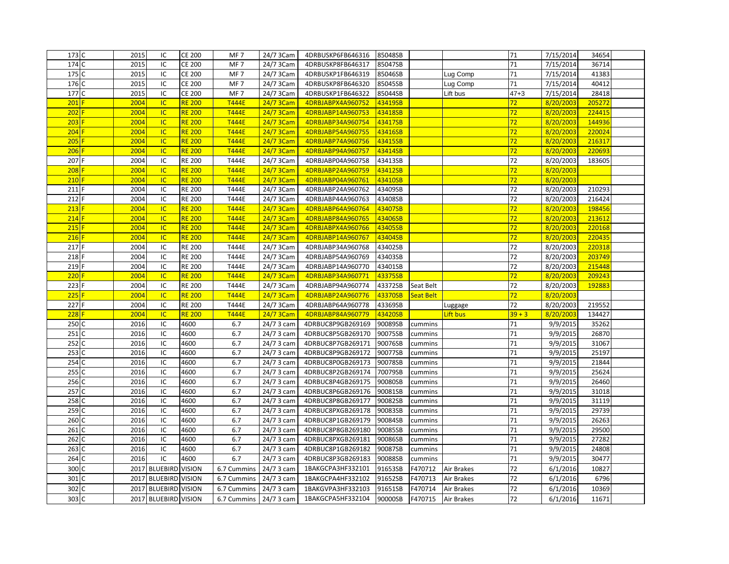| 173 C     | 2015 | IC                     | <b>CE 200</b> | MF <sub>7</sub>        | 24/7 3Cam               | 4DRBUSKP6FB646316 | 85048SB |                  |            | 71       | 7/15/2014 | 34654  |  |
|-----------|------|------------------------|---------------|------------------------|-------------------------|-------------------|---------|------------------|------------|----------|-----------|--------|--|
| 174 C     | 2015 | IC                     | <b>CE 200</b> | MF <sub>7</sub>        | 24/7 3Cam               | 4DRBUSKP8FB646317 | 85047SB |                  |            | 71       | 7/15/2014 | 36714  |  |
| 175 C     | 2015 | IC                     | <b>CE 200</b> | MF <sub>7</sub>        | 24/7 3Cam               | 4DRBUSKP1FB646319 | 85046SB |                  | Lug Comp   | 71       | 7/15/2014 | 41383  |  |
| 176 C     | 2015 | IC                     | <b>CE 200</b> | MF <sub>7</sub>        | 24/7 3Cam               | 4DRBUSKP8FB646320 | 85045SB |                  | Lug Comp   | 71       | 7/15/2014 | 40412  |  |
| 177 C     | 2015 | IC                     | <b>CE 200</b> | MF <sub>7</sub>        | 24/7 3Cam               | 4DRBUSKP1FB646322 | 85044SB |                  | Lift bus   | $47 + 3$ | 7/15/2014 | 28418  |  |
| $201$ F   | 2004 | <b>IC</b>              | <b>RE 200</b> | <b>T444E</b>           | 24/7 3Cam               | 4DRBJABPX4A960752 | 43419SB |                  |            | 72       | 8/20/2003 | 205272 |  |
| $202$ F   | 2004 | IC                     | <b>RE 200</b> | <b>T444E</b>           | 24/7 3Cam               | 4DRBJABP14A960753 | 43418SB |                  |            | 72       | 8/20/2003 | 224415 |  |
| $203$ F   | 2004 | $\overline{IC}$        | <b>RE 200</b> | <b>T444E</b>           | 24/7 3Cam               | 4DRBJABP34A960754 | 43417SB |                  |            | 72       | 8/20/2003 | 144936 |  |
| 204       | 2004 | <b>IC</b>              | <b>RE 200</b> | <b>T444E</b>           | 24/7 3Cam               | 4DRBJABP54A960755 | 43416SB |                  |            | 72       | 8/20/2003 | 220024 |  |
| $205$ F   | 2004 | IC                     | <b>RE 200</b> | <b>T444E</b>           | 24/7 3Cam               | 4DRBJABP74A960756 | 43415SB |                  |            | 72       | 8/20/2003 | 216317 |  |
| $206$ F   | 2004 | <b>IC</b>              | <b>RE 200</b> | <b>T444E</b>           | 24/7 3Cam               | 4DRBJABP94A960757 | 43414SB |                  |            | 72       | 8/20/2003 | 220693 |  |
| 207 F     | 2004 | IC                     | <b>RE 200</b> | T444E                  | 24/7 3Cam               | 4DRBJABP04A960758 | 43413SB |                  |            | 72       | 8/20/2003 | 183605 |  |
| $208$ F   | 2004 | <b>IC</b>              | <b>RE 200</b> | <b>T444E</b>           | 24/7 3Cam               | 4DRBJABP24A960759 | 43412SB |                  |            | 72       | 8/20/2003 |        |  |
| $210$ F   | 2004 | $\overline{IC}$        | <b>RE 200</b> | <b>T444E</b>           | 24/7 3Cam               | 4DRBJABP04A960761 | 43410SB |                  |            | 72       | 8/20/2003 |        |  |
| 211 F     | 2004 | IC                     | <b>RE 200</b> | T444E                  | 24/7 3Cam               | 4DRBJABP24A960762 | 43409SB |                  |            | 72       | 8/20/2003 | 210293 |  |
| 212 F     | 2004 | IC                     | <b>RE 200</b> | T444E                  | 24/7 3Cam               | 4DRBJABP44A960763 | 43408SB |                  |            | 72       | 8/20/2003 | 216424 |  |
| $213$ F   | 2004 | <b>IC</b>              | <b>RE 200</b> | <b>T444E</b>           | 24/7 3Cam               | 4DRBJABP64A960764 | 43407SB |                  |            | 72       | 8/20/2003 | 198456 |  |
| $214$ F   | 2004 | <b>IC</b>              | <b>RE 200</b> | <b>T444E</b>           | 24/7 3Cam               | 4DRBJABP84A960765 | 43406SB |                  |            | 72       | 8/20/2003 | 213612 |  |
| $215$ F   | 2004 | <b>IC</b>              | <b>RE 200</b> | <b>T444E</b>           | 24/7 3Cam               | 4DRBJABPX4A960766 | 43405SB |                  |            | 72       | 8/20/2003 | 220168 |  |
| $216$ F   | 2004 | <b>IC</b>              | <b>RE 200</b> | <b>T444E</b>           | 24/7 3Cam               | 4DRBJABP14A960767 | 43404SB |                  |            | 72       | 8/20/2003 | 220435 |  |
| 217 F     | 2004 | IC                     | <b>RE 200</b> | T444E                  | 24/7 3Cam               | 4DRBJABP34A960768 | 43402SB |                  |            | 72       | 8/20/2003 | 220318 |  |
| 218 F     | 2004 | IC                     | <b>RE 200</b> | T444E                  | 24/7 3Cam               | 4DRBJABP54A960769 | 43403SB |                  |            | 72       | 8/20/2003 | 203749 |  |
| 219 F     | 2004 | IC                     | <b>RE 200</b> | T444E                  | 24/7 3Cam               | 4DRBJABP14A960770 | 43401SB |                  |            | 72       | 8/20/2003 | 215448 |  |
| $220$ F   | 2004 | IC                     | <b>RE 200</b> | <b>T444E</b>           | 24/7 3Cam               | 4DRBJABP34A960771 | 43375SB |                  |            | 72       | 8/20/2003 | 209243 |  |
| 223 F     | 2004 | IC                     | <b>RE 200</b> | T444E                  | 24/7 3Cam               | 4DRBJABP94A960774 | 43372SB | Seat Belt        |            | 72       | 8/20/2003 | 192883 |  |
| $225$ F   | 2004 | <b>IC</b>              | <b>RE 200</b> | <b>T444E</b>           | 24/7 3Cam               | 4DRBJABP24A960776 | 43370SB | <b>Seat Belt</b> |            | 72       | 8/20/2003 |        |  |
| 227 F     | 2004 | IC                     | <b>RE 200</b> | T444E                  | 24/7 3Cam               | 4DRBJABP64A960778 | 43369SB |                  | Luggage    | 72       | 8/20/2003 | 219552 |  |
| $228$ F   | 2004 | IC                     | <b>RE 200</b> | <b>T444E</b>           | 24/7 3Cam               | 4DRBJABP84A960779 | 43420SB |                  | Lift bus   | $39 + 3$ | 8/20/2003 | 134427 |  |
| 250 C     | 2016 | IC                     | 4600          | 6.7                    | 24/7 3 cam              | 4DRBUC8P9GB269169 | 90089SB | cummins          |            | 71       | 9/9/2015  | 35262  |  |
| 251 C     | 2016 | IC                     | 4600          | 6.7                    | 24/7 3 cam              | 4DRBUC8P5GB269170 | 90075SB | cummins          |            | 71       | 9/9/2015  | 26870  |  |
| 252 C     | 2016 | IC                     | 4600          | 6.7                    | 24/7 3 cam              | 4DRBUC8P7GB269171 | 90076SB | cummins          |            | 71       | 9/9/2015  | 31067  |  |
| 253 C     | 2016 | IC                     | 4600          | 6.7                    | 24/7 3 cam              | 4DRBUC8P9GB269172 | 90077SB | cummins          |            | 71       | 9/9/2015  | 25197  |  |
| 254 C     | 2016 | IC                     | 4600          | 6.7                    | 24/7 3 cam              | 4DRBUC8P0GB269173 | 90078SB | cummins          |            | 71       | 9/9/2015  | 21844  |  |
| 255 C     | 2016 | IC                     | 4600          | 6.7                    | 24/7 3 cam              | 4DRBUC8P2GB269174 | 70079SB | cummins          |            | 71       | 9/9/2015  | 25624  |  |
| 256 C     | 2016 | IC                     | 4600          | 6.7                    | 24/7 3 cam              | 4DRBUC8P4GB269175 | 90080SB | cummins          |            | 71       | 9/9/2015  | 26460  |  |
| 257 C     | 2016 | IC                     | 4600          | 6.7                    | 24/7 3 cam              | 4DRBUC8P6GB269176 | 90081SB | cummins          |            | 71       | 9/9/2015  | 31018  |  |
| 258 C     | 2016 | IC                     | 4600          | 6.7                    | 24/7 3 cam              | 4DRBUC8P8GB269177 | 90082SB | cummins          |            | 71       | 9/9/2015  | 31119  |  |
| 259 C     | 2016 | IC                     | 4600          | 6.7                    | 24/7 3 cam              | 4DRBUC8PXGB269178 | 90083SB | cummins          |            | 71       | 9/9/2015  | 29739  |  |
| 260 C     | 2016 | IC                     | 4600          | 6.7                    | 24/7 3 cam              | 4DRBUC8P1GB269179 | 90084SB | cummins          |            | 71       | 9/9/2015  | 26263  |  |
| 261 C     | 2016 | IC                     | 4600          | 6.7                    | $\overline{24/7}$ 3 cam | 4DRBUC8P8GB269180 | 90085SB | cummins          |            | 71       | 9/9/2015  | 29500  |  |
| 262 C     | 2016 | IC                     | 4600          | 6.7                    | 24/7 3 cam              | 4DRBUC8PXGB269181 | 90086SB | cummins          |            | 71       | 9/9/2015  | 27282  |  |
| 263<br>IC | 2016 | IC                     | 4600          | 6.7                    | 24/7 3 cam              | 4DRBUC8P1GB269182 | 90087SB | cummins          |            | 71       | 9/9/2015  | 24808  |  |
| 264 C     | 2016 | IC                     | 4600          | 6.7                    | 24/7 3 cam              | 4DRBUC8P3GB269183 | 90088SB | cummins          |            | 71       | 9/9/2015  | 30477  |  |
| 300 C     |      | 2017 BLUEBIRD VISION   |               | 6.7 Cummins            | 24/7 3 cam              | 1BAKGCPA3HF332101 | 91653SB | F470712          | Air Brakes | 72       | 6/1/2016  | 10827  |  |
| 301 C     | 2017 | <b>BLUEBIRD VISION</b> |               | 6.7 Cummins            | 24/7 3 cam              | 1BAKGCPA4HF332102 | 91652SB | F470713          | Air Brakes | 72       | 6/1/2016  | 6796   |  |
| 302 C     | 2017 | <b>BLUEBIRD VISION</b> |               | 6.7 Cummins            | 24/7 3 cam              | 1BAKGVPA3HF332103 | 91651SB | F470714          | Air Brakes | 72       | 6/1/2016  | 10369  |  |
| 303 C     |      | 2017 BLUEBIRD VISION   |               | 6.7 Cummins 24/7 3 cam |                         | 1BAKGCPA5HF332104 | 90000SB | F470715          | Air Brakes | 72       | 6/1/2016  | 11671  |  |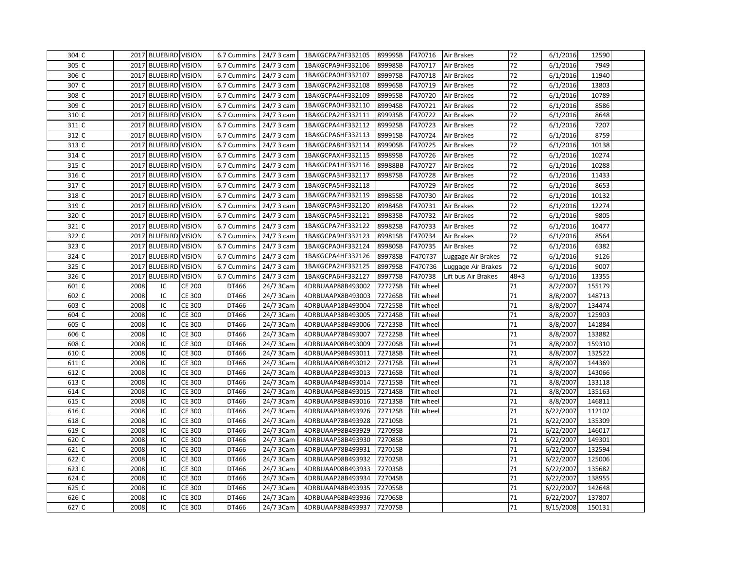| 304 C               |              | 2017 BLUEBIRD VISION   |                                | 6.7 Cummins    | 24/7 3 cam             | 1BAKGCPA7HF332105                      | 89999SB            | F470716                  | Air Brakes          | 72       | 6/1/2016             | 12590            |  |
|---------------------|--------------|------------------------|--------------------------------|----------------|------------------------|----------------------------------------|--------------------|--------------------------|---------------------|----------|----------------------|------------------|--|
| 305<br>C            | 2017         | <b>BLUEBIRD VISION</b> |                                | 6.7 Cummins    | 24/7 3 cam             | 1BAKGCPA9HF332106                      | 89998SB            | F470717                  | Air Brakes          | 72       | 6/1/2016             | 7949             |  |
| 306 C               | 2017         | <b>BLUEBIRD VISION</b> |                                | 6.7 Cummins    | 24/7 3 cam             | 1BAKGCPA0HF332107                      | 89997SB            | F470718                  | Air Brakes          | 72       | 6/1/2016             | 11940            |  |
| 307<br>C            | 2017         | <b>BLUEBIRD VISION</b> |                                | 6.7 Cummins    | 24/7 3 cam             | 1BAKGCPA2HF332108                      | 89996SB            | F470719                  | Air Brakes          | 72       | 6/1/2016             | 13803            |  |
| 308<br>C            | 2017         | <b>BLUEBIRD VISION</b> |                                | 6.7 Cummins    | 24/7 3 cam             | 1BAKGCPA4HF332109                      | 89995SB            | F470720                  | Air Brakes          | 72       | 6/1/2016             | 10789            |  |
| 309 C               | 2017         | <b>BLUEBIRD VISION</b> |                                | 6.7 Cummins    | 24/7 3 cam             | 1BAKGCPA0HF332110                      | 89994SB            | F470721                  | Air Brakes          | 72       | 6/1/2016             | 8586             |  |
| 310 C               | 2017         | <b>BLUEBIRD VISION</b> |                                | 6.7 Cummins    | 24/7 3 cam             | 1BAKGCPA2HF332111                      | 89993SB            | F470722                  | Air Brakes          | 72       | 6/1/2016             | 8648             |  |
| 311 C               |              | 2017 BLUEBIRD VISION   |                                | 6.7 Cummins    | 24/7 3 cam             | 1BAKGCPA4HF332112                      | 89992SB            | F470723                  | Air Brakes          | 72       | 6/1/2016             | 7207             |  |
| 312 C               | 2017         | <b>BLUEBIRD VISION</b> |                                | 6.7 Cummins    | 24/7 3 cam             | 1BAKGCPA6HF332113                      | 89991SB            | F470724                  | Air Brakes          | 72       | 6/1/2016             | 8759             |  |
| 313 C               | 2017         | <b>BLUEBIRD VISION</b> |                                | 6.7 Cummins    | 24/7 3 cam             | 1BAKGCPA8HF332114                      | 89990SB            | F470725                  | Air Brakes          | 72       | 6/1/2016             | 10138            |  |
| 314 C               | 2017         | <b>BLUEBIRD VISION</b> |                                | 6.7 Cummins    | 24/7 3 cam             | 1BAKGCPAXHF332115                      | 89989SB            | F470726                  | Air Brakes          | 72       | 6/1/2016             | 10274            |  |
| $315$ C             | 2017         | <b>BLUEBIRD VISION</b> |                                | 6.7 Cummins    | 24/7 3 cam             | 1BAKGCPA1HF332116                      | 89988BB            | F470727                  | Air Brakes          | 72       | 6/1/2016             | 10288            |  |
| 316 C               | 2017         | <b>BLUEBIRD VISION</b> |                                | 6.7 Cummins    | 24/7 3 cam             | 1BAKGCPA3HF332117                      | 89987SB            | F470728                  | Air Brakes          | 72       | 6/1/2016             | 11433            |  |
| 317 C               | 2017         | <b>BLUEBIRD VISION</b> |                                | 6.7 Cummins    | 24/7 3 cam             | 1BAKGCPA5HF332118                      |                    | F470729                  | Air Brakes          | 72       | 6/1/2016             | 8653             |  |
| 318 C               | 2017         | <b>BLUEBIRD VISION</b> |                                | 6.7 Cummins    | 24/7 3 cam             | 1BAKGCPA7HF332119                      | 89985SB            | F470730                  | Air Brakes          | 72       | 6/1/2016             | 10132            |  |
| 319 C               | 2017         | <b>BLUEBIRD VISION</b> |                                | 6.7 Cummins    | 24/7 3 cam             | 1BAKGCPA3HF332120                      | 89984SB            | F470731                  | Air Brakes          | 72       | 6/1/2016             | 12274            |  |
| 320 C               | 2017         | <b>BLUEBIRD VISION</b> |                                | 6.7 Cummins    | 24/7 3 cam             | 1BAKGCPA5HF332121                      | 89983SB            | F470732                  | Air Brakes          | 72       | 6/1/2016             | 9805             |  |
| 321 C               | 2017         | <b>BLUEBIRD VISION</b> |                                | 6.7 Cummins    | 24/7 3 cam             | 1BAKGCPA7HF332122                      | 89982SB            | F470733                  | Air Brakes          | 72       | 6/1/2016             | 10477            |  |
| 322 C               | 2017         | <b>BLUEBIRD VISION</b> |                                | 6.7 Cummins    | 24/7 3 cam             | 1BAKGCPA9HF332123                      | 89981SB            | F470734                  | Air Brakes          | 72       | 6/1/2016             | 8564             |  |
| 323<br>l C          | 2017         | <b>BLUEBIRD VISION</b> |                                | 6.7 Cummins    | 24/7 3 cam             | 1BAKGCPA0HF332124                      | 89980SB            | F470735                  | Air Brakes          | 72       | 6/1/2016             | 6382             |  |
| 324<br>C            | 2017         | <b>BLUEBIRD VISION</b> |                                | 6.7 Cummins    | 24/7 3 cam             | 1BAKGCPA4HF332126                      | 89978SB            | F470737                  | Luggage Air Brakes  | 72       | 6/1/2016             | 9126             |  |
| 325<br>l C          | 2017         | <b>BLUEBIRD VISION</b> |                                | 6.7 Cummins    | 24/7 3 cam             | 1BAKGCPA2HF332125                      | 89979SB            | F470736                  | Luggage Air Brakes  | 72       | 6/1/2016             | 9007             |  |
| 326<br>$\mathsf{C}$ | 2017         | <b>BLUEBIRD VISION</b> |                                | 6.7 Cummins    | 24/7 3 cam             | 1BAKGCPA6HF332127                      | 89977SB            | F470738                  | Lift bus Air Brakes | 48+3     | 6/1/2016             | 13355            |  |
| 601<br>$\epsilon$   | 2008         | IC                     | <b>CE 200</b>                  | DT466          | 24/7 3Cam              | 4DRBUAAP88B493002                      | 72727SB            | Tilt wheel               |                     | 71       | 8/2/2007             | 155179           |  |
| 602                 | 2008         | IC                     | <b>CE 300</b>                  | DT466          | 24/7 3Cam              | 4DRBUAAPX8B493003                      | 72726SB            | Tilt wheel               |                     | 71       | 8/8/2007             | 148713           |  |
| 603<br>$\mathsf{C}$ | 2008         | IC                     | <b>CE 300</b>                  | DT466          | 24/7 3Cam              | 4DRBUAAP18B493004                      | 72725SB            | Tilt wheel               |                     | 71       | 8/8/2007             | 134474           |  |
| 604<br>C            | 2008         | IC                     | <b>CE 300</b>                  | DT466          | 24/7 3Cam              | 4DRBUAAP38B493005                      | 72724SB            | Tilt wheel               |                     | 71       | 8/8/2007             | 125903           |  |
| 605<br>C            | 2008         | IC                     | <b>CE 300</b>                  | DT466          | 24/7 3Cam              | 4DRBUAAP58B493006                      | 72723SB            | Tilt wheel               |                     | 71       | 8/8/2007             | 141884           |  |
| 606 C               | 2008         | IC                     | <b>CE 300</b>                  | DT466          | 24/7 3Cam              | 4DRBUAAP78B493007                      | 72722SB            | Tilt wheel               |                     | 71       | 8/8/2007             | 133882           |  |
| 608 C               | 2008         | IC                     | <b>CE 300</b>                  | DT466          | 24/7 3Cam              | 4DRBUAAP08B493009                      | 72720SB            | Tilt wheel               |                     | 71       | 8/8/2007             | 159310           |  |
| 610 C               | 2008         | IC                     | <b>CE 300</b>                  | DT466          | 24/7 3Cam              | 4DRBUAAP98B493011                      | 72718SB            | Tilt wheel               |                     | 71       | 8/8/2007             | 132522           |  |
| 611                 | 2008         | IC                     | <b>CE 300</b>                  | DT466          | 24/7 3Cam              | 4DRBUAAP08B493012                      | 72717SB            | Tilt wheel               |                     | 71       | 8/8/2007             | 144369           |  |
| 612 C               | 2008         | IC                     | <b>CE 300</b>                  | DT466          | 24/7 3Cam              | 4DRBUAAP28B493013                      | 72716SB            | Tilt wheel               |                     | 71       | 8/8/2007             | 143066           |  |
| 613<br>C            | 2008         | IC                     | <b>CE 300</b>                  | DT466          | 24/7 3Cam              | 4DRBUAAP48B493014                      | 72715SB            | <b>Tilt wheel</b>        |                     | 71       | 8/8/2007             | 133118           |  |
| 614 C<br>615<br>IC  | 2008<br>2008 | IC<br>IC               | <b>CE 300</b><br><b>CE 300</b> | DT466<br>DT466 | 24/7 3Cam              | 4DRBUAAP68B493015                      | 72714SB            | Tilt wheel<br>Tilt wheel |                     | 71<br>71 | 8/8/2007<br>8/8/2007 | 135163<br>146811 |  |
| 616 C               | 2008         | IC                     | <b>CE 300</b>                  | DT466          | 24/7 3Cam<br>24/7 3Cam | 4DRBUAAP88B493016<br>4DRBUAAP38B493926 | 72713SB<br>72712SB | Tilt wheel               |                     | 71       | 6/22/2007            | 112102           |  |
| 618 C               | 2008         | IC                     | <b>CE 300</b>                  | DT466          | 24/7 3Cam              | 4DRBUAAP78B493928                      | 72710SB            |                          |                     | 71       | 6/22/2007            | 135309           |  |
| 619 C               | 2008         | IC                     | <b>CE 300</b>                  | DT466          | 24/7 3Cam              | 4DRBUAAP98B493929                      | 72709SB            |                          |                     | 71       | 6/22/2007            | 146017           |  |
| 620 C               | 2008         | IC                     | <b>CE 300</b>                  | DT466          | 24/7 3Cam              | 4DRBUAAP58B493930                      | 72708SB            |                          |                     | 71       | 6/22/2007            | 149301           |  |
| 621<br>C            | 2008         | IC                     | <b>CE 300</b>                  | DT466          | 24/7 3Cam              | 4DRBUAAP78B493931                      | 72701SB            |                          |                     | 71       | 6/22/2007            | 132594           |  |
| 622 C               | 2008         | IC                     | <b>CE 300</b>                  | DT466          | 24/7 3Cam              | 4DRBUAAP98B493932                      | 72702SB            |                          |                     | 71       | 6/22/2007            | 125006           |  |
| 623<br>C            | 2008         | IC                     | <b>CE 300</b>                  | DT466          | 24/7 3Cam              | 4DRBUAAP08B493933                      | 72703SB            |                          |                     | 71       | 6/22/2007            | 135682           |  |
| 624 C               | 2008         | IC                     | <b>CE 300</b>                  | DT466          | 24/7 3Cam              | 4DRBUAAP28B493934                      | 72704SB            |                          |                     | 71       | 6/22/2007            | 138955           |  |
| 625<br>$\mathsf{C}$ | 2008         | IC                     | <b>CE 300</b>                  | DT466          | 24/7 3Cam              | 4DRBUAAP48B493935                      | 72705SB            |                          |                     | 71       | 6/22/2007            | 142648           |  |
| 626 C               | 2008         | IC                     | <b>CE 300</b>                  | DT466          | 24/7 3Cam              | 4DRBUAAP68B493936                      | 72706SB            |                          |                     | 71       | 6/22/2007            | 137807           |  |
| 627 C               | 2008         | IC                     | <b>CE 300</b>                  | DT466          | 24/7 3Cam              | 4DRBUAAP88B493937                      | 72707SB            |                          |                     | 71       | 8/15/2008            | 150131           |  |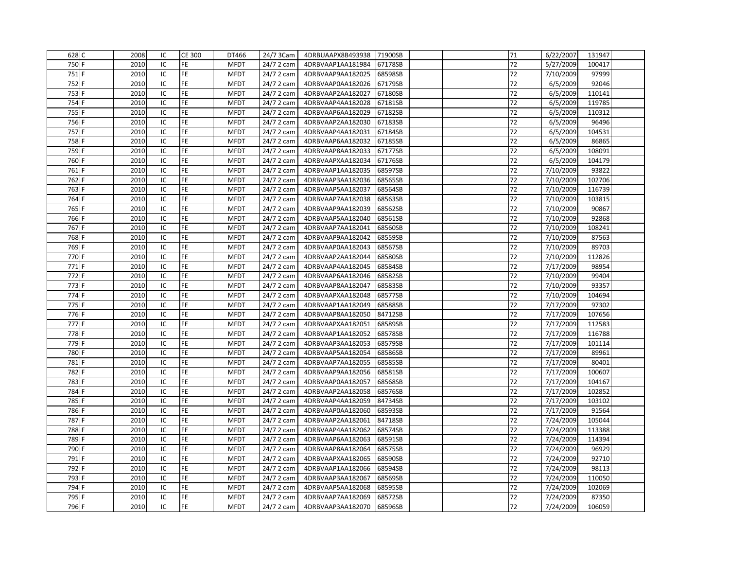| 628 C | 2008 | IC | <b>CE 300</b> | DT466       | 24/7 3Cam  | 4DRBUAAPX8B493938 71900SB |         | 71 | 6/22/2007 | 131947 |
|-------|------|----|---------------|-------------|------------|---------------------------|---------|----|-----------|--------|
| 750 F | 2010 | IC | <b>FE</b>     | <b>MFDT</b> | 24/7 2 cam | 4DRBVAAP1AA181984         | 67178SB | 72 | 5/27/2009 | 100417 |
| 751 F | 2010 | IC | FE            | <b>MFDT</b> | 24/7 2 cam | 4DRBVAAP9AA182025         | 68598SB | 72 | 7/10/2009 | 97999  |
| 752 F | 2010 | IC | FE            | <b>MFDT</b> | 24/7 2 cam | 4DRBVAAP0AA182026         | 67179SB | 72 | 6/5/2009  | 92046  |
| 753 F | 2010 | IC | <b>FE</b>     | <b>MFDT</b> | 24/7 2 cam | 4DRBVAAP2AA182027         | 67180SB | 72 | 6/5/2009  | 110141 |
| 754 F | 2010 | IC | FE            | <b>MFDT</b> | 24/7 2 cam | 4DRBVAAP4AA182028         | 67181SB | 72 | 6/5/2009  | 119785 |
| 755 F | 2010 | IC | FE            | <b>MFDT</b> | 24/7 2 cam | 4DRBVAAP6AA182029         | 67182SB | 72 | 6/5/2009  | 110312 |
| 756 F | 2010 | IC | FE            | <b>MFDT</b> | 24/7 2 cam | 4DRBVAAP2AA182030         | 67183SB | 72 | 6/5/2009  | 96496  |
| 757 F | 2010 | IC | FE            | <b>MFDT</b> | 24/7 2 cam | 4DRBVAAP4AA182031         | 67184SB | 72 | 6/5/2009  | 104531 |
| 758 F | 2010 | IC | FE            | <b>MFDT</b> | 24/7 2 cam | 4DRBVAAP6AA182032         | 67185SB | 72 | 6/5/2009  | 86865  |
| 759 F | 2010 | IC | FE            | <b>MFDT</b> | 24/7 2 cam | 4DRBVAAP8AA182033         | 67177SB | 72 | 6/5/2009  | 108091 |
| 760 F | 2010 | IC | FE            | <b>MFDT</b> | 24/7 2 cam | 4DRBVAAPXAA182034         | 67176SB | 72 | 6/5/2009  | 104179 |
| 761 F | 2010 | IC | FE            | <b>MFDT</b> | 24/7 2 cam | 4DRBVAAP1AA182035         | 68597SB | 72 | 7/10/2009 | 93822  |
| 762 F | 2010 | IC | FE            | <b>MFDT</b> | 24/7 2 cam | 4DRBVAAP3AA182036         | 68565SB | 72 | 7/10/2009 | 102706 |
| 763 F | 2010 | IC | FE            | <b>MFDT</b> | 24/7 2 cam | 4DRBVAAP5AA182037         | 68564SB | 72 | 7/10/2009 | 116739 |
| 764 F | 2010 | IC | FE            | <b>MFDT</b> | 24/7 2 cam | 4DRBVAAP7AA182038         | 68563SB | 72 | 7/10/2009 | 103815 |
| 765 F | 2010 | IC | <b>FE</b>     | <b>MFDT</b> | 24/7 2 cam | 4DRBVAAP9AA182039         | 68562SB | 72 | 7/10/2009 | 90867  |
| 766 F | 2010 | IC | FE            | <b>MFDT</b> | 24/7 2 cam | 4DRBVAAP5AA182040         | 68561SB | 72 | 7/10/2009 | 92868  |
| 767 F | 2010 | IC | FE            | <b>MFDT</b> | 24/7 2 cam | 4DRBVAAP7AA182041         | 68560SB | 72 | 7/10/2009 | 108241 |
| 768 F | 2010 | IC | FE            | <b>MFDT</b> | 24/7 2 cam | 4DRBVAAP9AA182042         | 68559SB | 72 | 7/10/2009 | 87563  |
| 769 F | 2010 | IC | FE            | <b>MFDT</b> | 24/7 2 cam | 4DRBVAAP0AA182043         | 68567SB | 72 | 7/10/2009 | 89703  |
| 770 F | 2010 | IC | FE            | <b>MFDT</b> | 24/7 2 cam | 4DRBVAAP2AA182044         | 68580SB | 72 | 7/10/2009 | 112826 |
| 771 F | 2010 | IC | FE            | <b>MFDT</b> | 24/7 2 cam | 4DRBVAAP4AA182045         | 68584SB | 72 | 7/17/2009 | 98954  |
| 772 F | 2010 | IC | <b>FE</b>     | <b>MFDT</b> | 24/7 2 cam | 4DRBVAAP6AA182046         | 68582SB | 72 | 7/10/2009 | 99404  |
| 773 F | 2010 | IC | FE            | <b>MFDT</b> | 24/7 2 cam | 4DRBVAAP8AA182047         | 68583SB | 72 | 7/10/2009 | 93357  |
| 774 F | 2010 | IC | FE            | <b>MFDT</b> | 24/7 2 cam | 4DRBVAAPXAA182048         | 68577SB | 72 | 7/10/2009 | 104694 |
| 775 F | 2010 | IC | FE            | <b>MFDT</b> | 24/7 2 cam | 4DRBVAAP1AA182049         | 68588SB | 72 | 7/17/2009 | 97302  |
| 776 F | 2010 | IC | FE            | <b>MFDT</b> | 24/7 2 cam | 4DRBVAAP8AA182050         | 84712SB | 72 | 7/17/2009 | 107656 |
| 777 F | 2010 | IC | FE            | <b>MFDT</b> | 24/7 2 cam | 4DRBVAAPXAA182051         | 68589SB | 72 | 7/17/2009 | 112583 |
| 778 F | 2010 | IC | FE            | <b>MFDT</b> | 24/7 2 cam | 4DRBVAAP1AA182052         | 68578SB | 72 | 7/17/2009 | 116788 |
| 779 F | 2010 | IC | <b>FE</b>     | <b>MFDT</b> | 24/7 2 cam | 4DRBVAAP3AA182053         | 68579SB | 72 | 7/17/2009 | 101114 |
| 780 F | 2010 | IC | FE            | <b>MFDT</b> | 24/7 2 cam | 4DRBVAAP5AA182054         | 68586SB | 72 | 7/17/2009 | 89961  |
| 781   | 2010 | IC | FE            | <b>MFDT</b> | 24/7 2 cam | 4DRBVAAP7AA182055         | 68585SB | 72 | 7/17/2009 | 80401  |
| 782 F | 2010 | IC | FE            | <b>MFDT</b> | 24/7 2 cam | 4DRBVAAP9AA182056         | 68581SB | 72 | 7/17/2009 | 100607 |
| 783   | 2010 | IC | <b>FE</b>     | <b>MFDT</b> | 24/7 2 cam | 4DRBVAAP0AA182057         | 68568SB | 72 | 7/17/2009 | 104167 |
| 784   | 2010 | IC | FE            | <b>MFDT</b> | 24/7 2 cam | 4DRBVAAP2AA182058         | 68576SB | 72 | 7/17/2009 | 102852 |
| 785   | 2010 | IC | <b>FE</b>     | <b>MFDT</b> | 24/7 2 cam | 4DRBVAAP4AA182059         | 84734SB | 72 | 7/17/2009 | 103102 |
| 786 F | 2010 | IC | FE            | <b>MFDT</b> | 24/7 2 cam | 4DRBVAAP0AA182060         | 68593SB | 72 | 7/17/2009 | 91564  |
| 787 F | 2010 | IC | FE            | <b>MFDT</b> | 24/7 2 cam | 4DRBVAAP2AA182061         | 84718SB | 72 | 7/24/2009 | 105044 |
| 788 F | 2010 | IC | FE            | <b>MFDT</b> | 24/7 2 cam | 4DRBVAAP4AA182062         | 68574SB | 72 | 7/24/2009 | 113388 |
| 789 F | 2010 | IC | FE            | <b>MFDT</b> | 24/7 2 cam | 4DRBVAAP6AA182063         | 68591SB | 72 | 7/24/2009 | 114394 |
| 790 F | 2010 | IC | FE            | <b>MFDT</b> | 24/7 2 cam | 4DRBVAAP8AA182064         | 68575SB | 72 | 7/24/2009 | 96929  |
| 791 F | 2010 | IC | FE            | <b>MFDT</b> | 24/7 2 cam | 4DRBVAAPXAA182065         | 68590SB | 72 | 7/24/2009 | 92710  |
| 792 F | 2010 | IC | <b>FE</b>     | <b>MFDT</b> | 24/7 2 cam | 4DRBVAAP1AA182066         | 68594SB | 72 | 7/24/2009 | 98113  |
| 793 F | 2010 | IC | <b>FE</b>     | <b>MFDT</b> | 24/7 2 cam | 4DRBVAAP3AA182067         | 68569SB | 72 | 7/24/2009 | 110050 |
| 794 F | 2010 | IC | FE            | <b>MFDT</b> | 24/7 2 cam | 4DRBVAAP5AA182068         | 68595SB | 72 | 7/24/2009 | 102069 |
| 795 F | 2010 | IC | FE            | <b>MFDT</b> | 24/7 2 cam | 4DRBVAAP7AA182069         | 68572SB | 72 | 7/24/2009 | 87350  |
| 796 F | 2010 | IC | <b>FE</b>     | <b>MFDT</b> | 24/7 2 cam | 4DRBVAAP3AA182070         | 68596SB | 72 | 7/24/2009 | 106059 |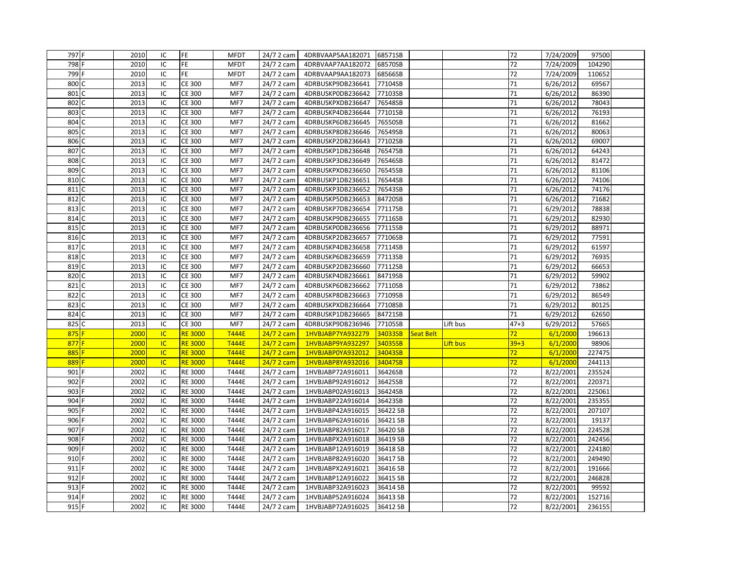| 797 F                | 2010 | IC        | <b>FE</b>      | <b>MFDT</b>  | 24/7 2 cam | 4DRBVAAP5AA182071 68571SB |          |           |          | 72              | 7/24/2009 | 97500  |  |
|----------------------|------|-----------|----------------|--------------|------------|---------------------------|----------|-----------|----------|-----------------|-----------|--------|--|
| 798 F                | 2010 | IC        | FE.            | <b>MFDT</b>  | 24/7 2 cam | 4DRBVAAP7AA182072         | 68570SB  |           |          | 72              | 7/24/2009 | 104290 |  |
| 799 F                | 2010 | IC        | FE.            | <b>MFDT</b>  | 24/7 2 cam | 4DRBVAAP9AA182073         | 68566SB  |           |          | 72              | 7/24/2009 | 110652 |  |
| 800 C                | 2013 | IC        | <b>CE 300</b>  | MF7          | 24/7 2 cam | 4DRBUSKP9DB236641         | 77104SB  |           |          | 71              | 6/26/2012 | 69567  |  |
| 801 C                | 2013 | IC        | <b>CE 300</b>  | MF7          | 24/7 2 cam | 4DRBUSKP0DB236642         | 77103SB  |           |          | 71              | 6/26/2012 | 86390  |  |
| 802<br>l C           | 2013 | IC        | <b>CE 300</b>  | MF7          | 24/7 2 cam | 4DRBUSKPXDB236647         | 76548SB  |           |          | 71              | 6/26/2012 | 78043  |  |
| 803 C                | 2013 | IC        | <b>CE 300</b>  | MF7          | 24/7 2 cam | 4DRBUSKP4DB236644         | 77101SB  |           |          | 71              | 6/26/2012 | 76193  |  |
| 804<br>C             | 2013 | IC        | <b>CE 300</b>  | MF7          | 24/7 2 cam | 4DRBUSKP6DB236645         | 76550SB  |           |          | 71              | 6/26/2012 | 81662  |  |
| 805<br>C             | 2013 | IC        | <b>CE 300</b>  | MF7          | 24/7 2 cam | 4DRBUSKP8DB236646         | 76549SB  |           |          | 71              | 6/26/2012 | 80063  |  |
| 806<br>$\mathcal{C}$ | 2013 | IC        | <b>CE 300</b>  | MF7          | 24/7 2 cam | 4DRBUSKP2DB236643         | 77102SB  |           |          | 71              | 6/26/2012 | 69007  |  |
| 807<br>$\mathsf{C}$  | 2013 | IC        | <b>CE 300</b>  | MF7          | 24/7 2 cam | 4DRBUSKP1DB236648         | 76547SB  |           |          | 71              | 6/26/2012 | 64243  |  |
| 808                  | 2013 | IC        | <b>CE 300</b>  | MF7          | 24/7 2 cam | 4DRBUSKP3DB236649         | 76546SB  |           |          | 71              | 6/26/2012 | 81472  |  |
| 809<br>l C           | 2013 | IC        | <b>CE 300</b>  | MF7          | 24/7 2 cam | 4DRBUSKPXDB236650         | 76545SB  |           |          | 71              | 6/26/2012 | 81106  |  |
| 810 C                | 2013 | IC        | <b>CE 300</b>  | MF7          | 24/7 2 cam | 4DRBUSKP1DB236651         | 76544SB  |           |          | 71              | 6/26/2012 | 74106  |  |
| 811 C                | 2013 | IC        | <b>CE 300</b>  | MF7          | 24/7 2 cam | 4DRBUSKP3DB236652         | 76543SB  |           |          | 71              | 6/26/2012 | 74176  |  |
| 812 C                | 2013 | IC        | <b>CE 300</b>  | MF7          | 24/7 2 cam | 4DRBUSKP5DB236653         | 84720SB  |           |          | 71              | 6/26/2012 | 71682  |  |
| 813 C                | 2013 | IC        | <b>CE 300</b>  | MF7          | 24/7 2 cam | 4DRBUSKP7DB236654         | 77117SB  |           |          | 71              | 6/29/2012 | 78838  |  |
| 814 C                | 2013 | IC        | <b>CE 300</b>  | MF7          | 24/7 2 cam | 4DRBUSKP9DB236655         | 77116SB  |           |          | 71              | 6/29/2012 | 82930  |  |
| 815 C                | 2013 | IC        | <b>CE 300</b>  | MF7          | 24/7 2 cam | 4DRBUSKP0DB236656         | 77115SB  |           |          | 71              | 6/29/2012 | 88971  |  |
| 816 C                | 2013 | IC        | <b>CE 300</b>  | MF7          | 24/7 2 cam | 4DRBUSKP2DB236657         | 77106SB  |           |          | 71              | 6/29/2012 | 77591  |  |
| 817<br>C             | 2013 | IC        | <b>CE 300</b>  | MF7          | 24/7 2 cam | 4DRBUSKP4DB236658         | 77114SB  |           |          | 71              | 6/29/2012 | 61597  |  |
| 818 C                | 2013 | IC        | <b>CE 300</b>  | MF7          | 24/7 2 cam | 4DRBUSKP6DB236659         | 77113SB  |           |          | 71              | 6/29/2012 | 76935  |  |
| 819 C                | 2013 | IC        | <b>CE 300</b>  | MF7          | 24/7 2 cam | 4DRBUSKP2DB236660         | 77112SB  |           |          | 71              | 6/29/2012 | 66653  |  |
| 820 C                | 2013 | IC        | <b>CE 300</b>  | MF7          | 24/7 2 cam | 4DRBUSKP4DB236661         | 84719SB  |           |          | 71              | 6/29/2012 | 59902  |  |
| 821<br>C             | 2013 | IC        | <b>CE 300</b>  | MF7          | 24/7 2 cam | 4DRBUSKP6DB236662         | 77110SB  |           |          | 71              | 6/29/2012 | 73862  |  |
| 822<br>C             | 2013 | IC        | <b>CE 300</b>  | MF7          | 24/7 2 cam | 4DRBUSKP8DB236663         | 77109SB  |           |          | 71              | 6/29/2012 | 86549  |  |
| 823<br>l C           | 2013 | IC        | <b>CE 300</b>  | MF7          | 24/7 2 cam | 4DRBUSKPXDB236664         | 77108SB  |           |          | 71              | 6/29/2012 | 80125  |  |
| 824<br>C             | 2013 | IC        | <b>CE 300</b>  | MF7          | 24/7 2 cam | 4DRBUSKP1DB236665         | 84721SB  |           |          | 71              | 6/29/2012 | 62650  |  |
| 825 C                | 2013 | IC        | <b>CE 300</b>  | MF7          | 24/7 2 cam | 4DRBUSKP9DB236946         | 77105SB  |           | Lift bus | $47 + 3$        | 6/29/2012 | 57665  |  |
| $875$ F              | 2000 | <b>IC</b> | <b>RE 3000</b> | <b>T444E</b> | 24/7 2 cam | 1HVBJABP7YA932279         | 34033SB  | Seat Belt |          | 72 <sub>2</sub> | 6/1/2000  | 196613 |  |
| $877$ F              | 2000 | <b>IC</b> | <b>RE 3000</b> | <b>T444E</b> | 24/7 2 cam | 1HVBJABP9YA932297         | 34035SB  |           | Lift bus | $39 + 3$        | 6/1/2000  | 98906  |  |
| 885                  | 2000 | <b>IC</b> | <b>RE 3000</b> | <b>T444E</b> | 24/7 2 cam | 1HVBJABP0YA932012         | 34043SB  |           |          | 72              | 6/1/2000  | 227475 |  |
| 889                  | 2000 | <b>IC</b> | <b>RE 3000</b> | <b>T444E</b> | 24/7 2 cam | 1HVBJABP8YA932016         | 34047SB  |           |          | 72              | 6/1/2000  | 244113 |  |
| 901                  | 2002 | IC        | RE 3000        | T444E        | 24/7 2 cam | 1HVBJABP72A916011         | 36426SB  |           |          | 72              | 8/22/2001 | 235524 |  |
| 902                  | 2002 | IC        | RE 3000        | T444E        | 24/7 2 cam | 1HVBJABP92A916012         | 36425SB  |           |          | 72              | 8/22/2001 | 220371 |  |
| 903                  | 2002 | IC        | RE 3000        | T444E        | 24/7 2 cam | 1HVBJABP02A916013         | 36424SB  |           |          | 72              | 8/22/2001 | 225061 |  |
| 904                  | 2002 | IC        | <b>RE 3000</b> | <b>T444E</b> | 24/7 2 cam | 1HVBJABP22A916014         | 36423SB  |           |          | 72              | 8/22/2001 | 235355 |  |
| 905                  | 2002 | IC        | <b>RE 3000</b> | <b>T444E</b> | 24/7 2 cam | 1HVBJABP42A916015         | 36422 SB |           |          | 72              | 8/22/2001 | 207107 |  |
| 906 F                | 2002 | IC        | <b>RE 3000</b> | T444E        | 24/7 2 cam | 1HVBJABP62A916016         | 36421 SB |           |          | 72              | 8/22/2001 | 19137  |  |
| 907                  | 2002 | IC        | RE 3000        | T444E        | 24/7 2 cam | 1HVBJABP82A916017         | 36420 SB |           |          | 72              | 8/22/2001 | 224528 |  |
| 908 F                | 2002 | IC        | RE 3000        | T444E        | 24/7 2 cam | 1HVBJABPX2A916018         | 36419 SB |           |          | 72              | 8/22/2001 | 242456 |  |
| 909                  | 2002 | IC        | <b>RE 3000</b> | <b>T444E</b> | 24/7 2 cam | 1HVBJABP12A916019         | 36418 SB |           |          | 72              | 8/22/2001 | 224180 |  |
| 910 F                | 2002 | IC        | RE 3000        | T444E        | 24/7 2 cam | 1HVBJABP82A916020         | 36417 SB |           |          | 72              | 8/22/2001 | 249490 |  |
| 911                  | 2002 | IC        | RE 3000        | T444E        | 24/7 2 cam | 1HVBJABPX2A916021         | 36416 SB |           |          | 72              | 8/22/2001 | 191666 |  |
| 912 F                | 2002 | IC        | RE 3000        | T444E        | 24/7 2 cam | 1HVBJABP12A916022         | 36415 SB |           |          | 72              | 8/22/2001 | 246828 |  |
| 913                  | 2002 | IC        | <b>RE 3000</b> | T444E        | 24/7 2 cam | 1HVBJABP32A916023         | 36414 SB |           |          | 72              | 8/22/2001 | 99592  |  |
| 914 F                | 2002 | IC        | RE 3000        | T444E        | 24/7 2 cam | 1HVBJABP52A916024         | 36413 SB |           |          | 72              | 8/22/2001 | 152716 |  |
| 915 F                | 2002 | IC        | <b>RE 3000</b> | T444E        | 24/7 2 cam | 1HVBJABP72A916025         | 36412 SB |           |          | 72              | 8/22/2001 | 236155 |  |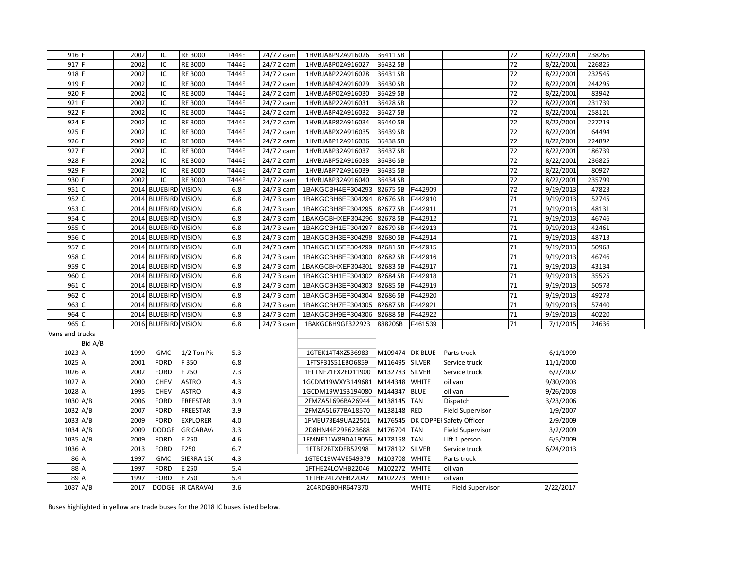| 916 F           |              | 2002 | IC                     | <b>RE 3000</b>   | T444E        | 24/7 2 cam | 1HVBJABP92A916026  | 36411 SB        |              |                                  | 72 | 8/22/2001 | 238266 |  |
|-----------------|--------------|------|------------------------|------------------|--------------|------------|--------------------|-----------------|--------------|----------------------------------|----|-----------|--------|--|
| 917             |              | 2002 | IC                     | RE 3000          | T444E        | 24/7 2 cam | 1HVBJABP02A916027  | 36432 SB        |              |                                  | 72 | 8/22/2001 | 226825 |  |
| 918 F           |              | 2002 | IC                     | RE 3000          | T444E        | 24/7 2 cam | 1HVBJABP22A916028  | 36431 SB        |              |                                  | 72 | 8/22/2001 | 232545 |  |
| 919             |              | 2002 | IC                     | RE 3000          | T444E        | 24/7 2 cam | 1HVBJABP42A916029  | 36430 SB        |              |                                  | 72 | 8/22/2001 | 244295 |  |
| 920             |              | 2002 | IC                     | RE 3000          | <b>T444E</b> | 24/7 2 cam | 1HVBJABP02A916030  | 36429 SB        |              |                                  | 72 | 8/22/2001 | 83942  |  |
| 921             |              | 2002 | IC                     | RE 3000          | T444E        | 24/7 2 cam | 1HVBJABP22A916031  | 36428 SB        |              |                                  | 72 | 8/22/2001 | 231739 |  |
| 922             |              | 2002 | IC                     | RE 3000          | <b>T444E</b> | 24/7 2 cam | 1HVBJABP42A916032  | 36427 SB        |              |                                  | 72 | 8/22/2001 | 258121 |  |
| 924             |              | 2002 | IC                     | RE 3000          | T444E        | 24/7 2 cam | 1HVBJABP82A916034  | 36440 SB        |              |                                  | 72 | 8/22/2001 | 227219 |  |
| 925             |              | 2002 | IC                     | RE 3000          | T444E        | 24/7 2 cam | 1HVBJABPX2A916035  | 36439 SB        |              |                                  | 72 | 8/22/2001 | 64494  |  |
| 926             |              | 2002 | $\sf IC$               | RE 3000          | T444E        | 24/7 2 cam | 1HVBJABP12A916036  | 36438 SB        |              |                                  | 72 | 8/22/2001 | 224892 |  |
| 927             |              | 2002 | IC                     | RE 3000          | T444E        | 24/7 2 cam | 1HVBJABP32A916037  | 36437 SB        |              |                                  | 72 | 8/22/2001 | 186739 |  |
| 928             |              | 2002 | IC                     | RE 3000          | T444E        | 24/7 2 cam | 1HVBJABP52A916038  | 36436 SB        |              |                                  | 72 | 8/22/2001 | 236825 |  |
| 929             |              | 2002 | IC                     | RE 3000          | T444E        | 24/7 2 cam | 1HVBJABP72A916039  | 36435 SB        |              |                                  | 72 | 8/22/2001 | 80927  |  |
| 930             |              | 2002 | IC                     | RE 3000          | T444E        | 24/7 2 cam | 1HVBJABP32A916040  | 36434 SB        |              |                                  | 72 | 8/22/2001 | 235799 |  |
| 951             | C            |      | 2014 BLUEBIRD VISION   |                  | 6.8          | 24/7 3 cam | 1BAKGCBH4EF304293  | 82675 SB        | F442909      |                                  | 72 | 9/19/2013 | 47823  |  |
| 952 C           |              | 2014 | <b>BLUEBIRD VISION</b> |                  | 6.8          | 24/7 3 cam | 1BAKGCBH6EF304294  | 82676 SB        | F442910      |                                  | 71 | 9/19/2013 | 52745  |  |
| 953             | $\mathsf{C}$ |      | 2014 BLUEBIRD VISION   |                  | 6.8          | 24/7 3 cam | 1BAKGCBH8EF304295  | 82677 SB        | F442911      |                                  | 71 | 9/19/2013 | 48131  |  |
| 954             | C            | 2014 | <b>BLUEBIRD VISION</b> |                  | 6.8          | 24/7 3 cam | 1BAKGCBHXEF304296  | 82678 SB        | F442912      |                                  | 71 | 9/19/2013 | 46746  |  |
| 955 C           |              |      | 2014 BLUEBIRD VISION   |                  | 6.8          | 24/7 3 cam | 1BAKGCBH1EF304297  | 82679 SB        | F442913      |                                  | 71 | 9/19/2013 | 42461  |  |
| 956 C           |              | 2014 | <b>BLUEBIRD VISION</b> |                  | 6.8          | 24/7 3 cam | 1BAKGCBH3EF304298  | 82680 SB        | F442914      |                                  | 71 | 9/19/2013 | 48713  |  |
| 957 C           |              | 2014 | <b>BLUEBIRD VISION</b> |                  | 6.8          | 24/7 3 cam | 1BAKGCBH5EF304299  | 82681 SB        | F442915      |                                  | 71 | 9/19/2013 | 50968  |  |
| 958 C           |              | 2014 | <b>BLUEBIRD VISION</b> |                  | 6.8          | 24/7 3 cam | 1BAKGCBH8EF304300  | 82682 SB        | F442916      |                                  | 71 | 9/19/2013 | 46746  |  |
| 959             | $\mathsf{C}$ |      | 2014 BLUEBIRD VISION   |                  | 6.8          | 24/7 3 cam | 1BAKGCBHXEF304301  | 82683 SB        | F442917      |                                  | 71 | 9/19/2013 | 43134  |  |
| 960 C           |              | 2014 | <b>BLUEBIRD VISION</b> |                  | 6.8          | 24/7 3 cam | 1BAKGCBH1EF304302  | 82684 SB        | F442918      |                                  | 71 | 9/19/2013 | 35525  |  |
| 961             | C            | 2014 | <b>BLUEBIRD VISION</b> |                  | 6.8          | 24/7 3 cam | 1BAKGCBH3EF304303  | 82685 SB        | F442919      |                                  | 71 | 9/19/2013 | 50578  |  |
| 962 C           |              | 2014 | <b>BLUEBIRD VISION</b> |                  | 6.8          | 24/7 3 cam | 1BAKGCBH5EF304304  | 82686 SB        | F442920      |                                  | 71 | 9/19/2013 | 49278  |  |
| 963 C           |              |      | 2014 BLUEBIRD VISION   |                  | 6.8          | 24/7 3 cam | 1BAKGCBH7EF304305  | 82687 SB        | F442921      |                                  | 71 | 9/19/2013 | 57440  |  |
| 964             | C            | 2014 | <b>BLUEBIRD VISION</b> |                  | 6.8          | 24/7 3 cam | 1BAKGCBH9EF304306  | 82688 SB        | F442922      |                                  | 71 | 9/19/2013 | 40220  |  |
| 965 C           |              |      | 2016 BLUEBIRD VISION   |                  | 6.8          | 24/7 3 cam | 1BAKGCBH9GF322923  | 88820SB         | F461539      |                                  | 71 | 7/1/2015  | 24636  |  |
| Vans and trucks |              |      |                        |                  |              |            |                    |                 |              |                                  |    |           |        |  |
|                 | Bid A/B      |      |                        |                  |              |            |                    |                 |              |                                  |    |           |        |  |
| 1023 A          |              | 1999 | <b>GMC</b>             | 1/2 Ton Pic      | 5.3          |            | 1GTEK14T4XZ536983  | M109474 DK BLUE |              | Parts truck                      |    | 6/1/1999  |        |  |
| 1025 A          |              | 2001 | <b>FORD</b>            | F 350            | 6.8          |            | 1FTSF31S51EBO6859  | M116495 SILVER  |              | Service truck                    |    | 11/1/2000 |        |  |
| 1026 A          |              | 2002 | <b>FORD</b>            | F 250            | 7.3          |            | 1FTTNF21FX2ED11900 | M132783 SILVER  |              | Service truck                    |    | 6/2/2002  |        |  |
| 1027 A          |              | 2000 | <b>CHEV</b>            | <b>ASTRO</b>     | 4.3          |            | 1GCDM19WXYB149681  | M144348 WHITE   |              | oil van                          |    | 9/30/2003 |        |  |
| 1028 A          |              | 1995 | <b>CHEV</b>            | <b>ASTRO</b>     | 4.3          |            | 1GCDM19W1SB194080  | M144347 BLUE    |              | oil van                          |    | 9/26/2003 |        |  |
| 1030 A/B        |              | 2006 | <b>FORD</b>            | FREESTAR         | 3.9          |            | 2FMZA51696BA26944  | M138145 TAN     |              | Dispatch                         |    | 3/23/2006 |        |  |
| 1032 A/B        |              | 2007 | <b>FORD</b>            | FREESTAR         | 3.9          |            | 2FMZA51677BA18570  | M138148 RED     |              | <b>Field Supervisor</b>          |    | 1/9/2007  |        |  |
| 1033 A/B        |              | 2009 | <b>FORD</b>            | <b>EXPLORER</b>  | 4.0          |            | 1FMEU73E49UA22501  |                 |              | M176545 DK COPPEI Safety Officer |    | 2/9/2009  |        |  |
| 1034 A/B        |              | 2009 | DODGE                  | <b>GR CARAV</b>  | 3.3          |            | 2D8HN44E29R623688  | M176704 TAN     |              | <b>Field Supervisor</b>          |    | 3/2/2009  |        |  |
| 1035 A/B        |              | 2009 | <b>FORD</b>            | E 250            | 4.6          |            | 1FMNE11W89DA19056  | M178158 TAN     |              | Lift 1 person                    |    | 6/5/2009  |        |  |
| 1036 A          |              | 2013 | <b>FORD</b>            | F250             | 6.7          |            | 1FTBF2BTXDEB52998  | M178192 SILVER  |              | Service truck                    |    | 6/24/2013 |        |  |
| 86 A            |              | 1997 | <b>GMC</b>             | SIERRA 150       | 4.3          |            | 1GTEC19W4VE549379  | M103708 WHITE   |              | Parts truck                      |    |           |        |  |
| 88 A            |              | 1997 | <b>FORD</b>            | E 250            | 5.4          |            | 1FTHE24LOVHB22046  | M102272         | <b>WHITE</b> | oil van                          |    |           |        |  |
| 89 A            |              | 1997 | <b>FORD</b>            | E 250            | 5.4          |            | 1FTHE24L2VHB22047  | M102273         | <b>WHITE</b> | oil van                          |    |           |        |  |
| 1037 A/B        |              | 2017 |                        | DODGE IR CARAVAL | 3.6          |            | 2C4RDGB0HR647370   |                 | <b>WHITE</b> | <b>Field Supervisor</b>          |    | 2/22/2017 |        |  |

Buses highlighted in yellow are trade buses for the 2018 IC buses listed below.